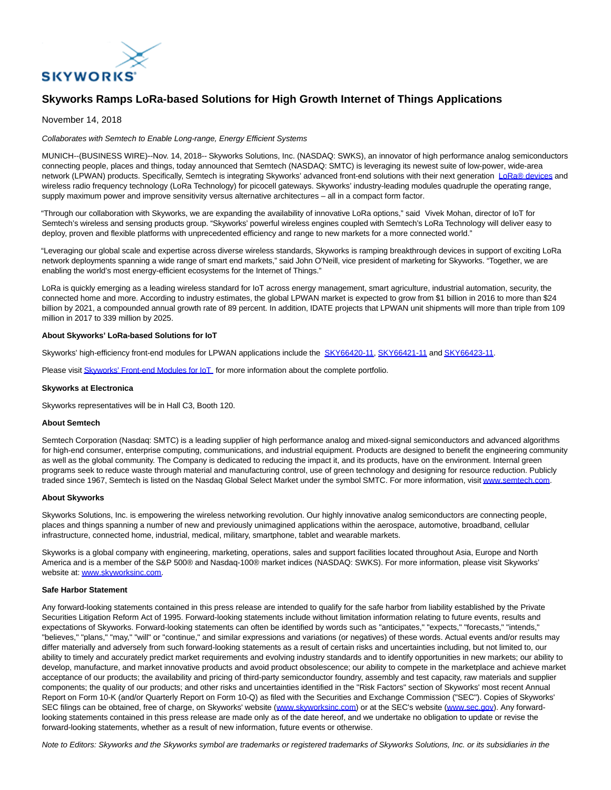

# **Skyworks Ramps LoRa-based Solutions for High Growth Internet of Things Applications**

### November 14, 2018

#### Collaborates with Semtech to Enable Long-range, Energy Efficient Systems

MUNICH--(BUSINESS WIRE)--Nov. 14, 2018-- Skyworks Solutions, Inc. (NASDAQ: SWKS), an innovator of high performance analog semiconductors connecting people, places and things, today announced that Semtech (NASDAQ: SMTC) is leveraging its newest suite of low-power, wide-area network (LPWAN) products. Specifically, Semtech is integrating Skyworks' advanced front-end solutions with their next generation [LoRa® devices a](http://cts.businesswire.com/ct/CT?id=smartlink&url=https%3A%2F%2Fwww.semtech.com%2Fproducts%2Fwireless-rf%2Flora-gateways%2FSX1308&esheet=51898877&newsitemid=20181113006075&lan=en-US&anchor=LoRa%C2%AE+devices&index=1&md5=91b075905d6b089563b6d31990a686e4)nd wireless radio frequency technology (LoRa Technology) for picocell gateways. Skyworks' industry-leading modules quadruple the operating range, supply maximum power and improve sensitivity versus alternative architectures – all in a compact form factor.

"Through our collaboration with Skyworks, we are expanding the availability of innovative LoRa options," said Vivek Mohan, director of IoT for Semtech's wireless and sensing products group. "Skyworks' powerful wireless engines coupled with Semtech's LoRa Technology will deliver easy to deploy, proven and flexible platforms with unprecedented efficiency and range to new markets for a more connected world."

"Leveraging our global scale and expertise across diverse wireless standards, Skyworks is ramping breakthrough devices in support of exciting LoRa network deployments spanning a wide range of smart end markets," said John O'Neill, vice president of marketing for Skyworks. "Together, we are enabling the world's most energy-efficient ecosystems for the Internet of Things."

LoRa is quickly emerging as a leading wireless standard for IoT across energy management, smart agriculture, industrial automation, security, the connected home and more. According to industry estimates, the global LPWAN market is expected to grow from \$1 billion in 2016 to more than \$24 billion by 2021, a compounded annual growth rate of 89 percent. In addition, IDATE projects that LPWAN unit shipments will more than triple from 109 million in 2017 to 339 million by 2025.

# **About Skyworks' LoRa-based Solutions for IoT**

Skyworks' high-efficiency front-end modules for LPWAN applications include the [SKY66420-11,](http://cts.businesswire.com/ct/CT?id=smartlink&url=http%3A%2F%2Fwww.skyworksinc.com%2FProduct%2F4124%2FSKY66420-11%3FIsProduct%3Dtrue%3Fsource%3Dpr&esheet=51898877&newsitemid=20181113006075&lan=en-US&anchor=SKY66420-11&index=2&md5=d8b0aab8b88328f5f3d1181d6e906d38) [SKY66421-11 a](http://cts.businesswire.com/ct/CT?id=smartlink&url=http%3A%2F%2Fwww.skyworksinc.com%2FProduct%2F4176%2FSKY66421-11%3FIsProduct%3Dtrue%3Fsource%3Dpr&esheet=51898877&newsitemid=20181113006075&lan=en-US&anchor=SKY66421-11&index=3&md5=8ebaf5bcff2c6b0b677e5782b7108128)n[d SKY66423-11.](http://cts.businesswire.com/ct/CT?id=smartlink&url=http%3A%2F%2Fwww.skyworksinc.com%2FProduct%2F4177%2FSKY66423-11%3FIsProduct%3Dtrue%3Fsource%3Dpr&esheet=51898877&newsitemid=20181113006075&lan=en-US&anchor=SKY66423-11&index=4&md5=ff40ff7abb60f70a30381038f522de9c)

Please visi[t Skyworks' Front-end Modules for IoT f](http://cts.businesswire.com/ct/CT?id=smartlink&url=http%3A%2F%2Fwww.skyworksinc.com%2FProducts%2F63%2FFront-end_Modules_for_Connected_Home%2C_Industrial%2C_M2M%2C_Medical%2C_Smart_Energy_and_Wearables%3Fsource%3Dpr&esheet=51898877&newsitemid=20181113006075&lan=en-US&anchor=Skyworks%27+Front-end+Modules+for+IoT&index=5&md5=090cc98f5e4821f7f3b21f09fb5a9cd0)or more information about the complete portfolio.

#### **Skyworks at Electronica**

Skyworks representatives will be in Hall C3, Booth 120.

#### **About Semtech**

Semtech Corporation (Nasdaq: SMTC) is a leading supplier of high performance analog and mixed-signal semiconductors and advanced algorithms for high-end consumer, enterprise computing, communications, and industrial equipment. Products are designed to benefit the engineering community as well as the global community. The Company is dedicated to reducing the impact it, and its products, have on the environment. Internal green programs seek to reduce waste through material and manufacturing control, use of green technology and designing for resource reduction. Publicly traded since 1967, Semtech is listed on the Nasdaq Global Select Market under the symbol SMTC. For more information, visi[t www.semtech.com.](http://cts.businesswire.com/ct/CT?id=smartlink&url=http%3A%2F%2Fwww.semtech.com&esheet=51898877&newsitemid=20181113006075&lan=en-US&anchor=www.semtech.com&index=6&md5=eab76bf170afb37119ade7418b1d2f0e)

## **About Skyworks**

Skyworks Solutions, Inc. is empowering the wireless networking revolution. Our highly innovative analog semiconductors are connecting people, places and things spanning a number of new and previously unimagined applications within the aerospace, automotive, broadband, cellular infrastructure, connected home, industrial, medical, military, smartphone, tablet and wearable markets.

Skyworks is a global company with engineering, marketing, operations, sales and support facilities located throughout Asia, Europe and North America and is a member of the S&P 500® and Nasdaq-100® market indices (NASDAQ: SWKS). For more information, please visit Skyworks' website at[: www.skyworksinc.com.](http://cts.businesswire.com/ct/CT?id=smartlink&url=http%3A%2F%2Fwww.skyworksinc.com&esheet=51898877&newsitemid=20181113006075&lan=en-US&anchor=www.skyworksinc.com&index=7&md5=44b47c6c856aa5db983b387c33304624)

#### **Safe Harbor Statement**

Any forward-looking statements contained in this press release are intended to qualify for the safe harbor from liability established by the Private Securities Litigation Reform Act of 1995. Forward-looking statements include without limitation information relating to future events, results and expectations of Skyworks. Forward-looking statements can often be identified by words such as "anticipates," "expects," "forecasts," "intends," "believes," "plans," "may," "will" or "continue," and similar expressions and variations (or negatives) of these words. Actual events and/or results may differ materially and adversely from such forward-looking statements as a result of certain risks and uncertainties including, but not limited to, our ability to timely and accurately predict market requirements and evolving industry standards and to identify opportunities in new markets; our ability to develop, manufacture, and market innovative products and avoid product obsolescence; our ability to compete in the marketplace and achieve market acceptance of our products; the availability and pricing of third-party semiconductor foundry, assembly and test capacity, raw materials and supplier components; the quality of our products; and other risks and uncertainties identified in the "Risk Factors" section of Skyworks' most recent Annual Report on Form 10-K (and/or Quarterly Report on Form 10-Q) as filed with the Securities and Exchange Commission ("SEC"). Copies of Skyworks' SEC filings can be obtained, free of charge, on Skyworks' website [\(www.skyworksinc.com\)](http://cts.businesswire.com/ct/CT?id=smartlink&url=http%3A%2F%2Fwww.skyworksinc.com&esheet=51898877&newsitemid=20181113006075&lan=en-US&anchor=www.skyworksinc.com&index=8&md5=4e48bc1d38a3c4aeb392bf85e509f337) or at the SEC's website [\(www.sec.gov\).](http://cts.businesswire.com/ct/CT?id=smartlink&url=http%3A%2F%2Fwww.sec.gov&esheet=51898877&newsitemid=20181113006075&lan=en-US&anchor=www.sec.gov&index=9&md5=1aeb11bac186a0621825f3288d4e08e9) Any forwardlooking statements contained in this press release are made only as of the date hereof, and we undertake no obligation to update or revise the forward-looking statements, whether as a result of new information, future events or otherwise.

Note to Editors: Skyworks and the Skyworks symbol are trademarks or registered trademarks of Skyworks Solutions, Inc. or its subsidiaries in the